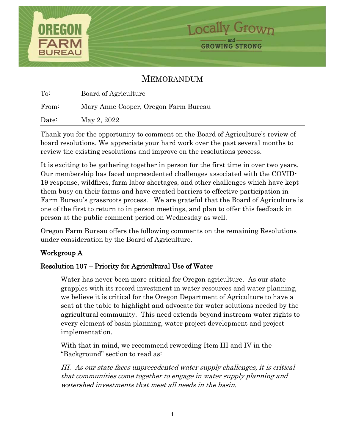



# MEMORANDUM

| $\mathrm{To}:$ | Board of Agriculture                 |
|----------------|--------------------------------------|
| From:          | Mary Anne Cooper, Oregon Farm Bureau |
| Date:          | May 2, 2022                          |

Thank you for the opportunity to comment on the Board of Agriculture's review of board resolutions. We appreciate your hard work over the past several months to review the existing resolutions and improve on the resolutions process.

It is exciting to be gathering together in person for the first time in over two years. Our membership has faced unprecedented challenges associated with the COVID-19 response, wildfires, farm labor shortages, and other challenges which have kept them busy on their farms and have created barriers to effective participation in Farm Bureau's grassroots process. We are grateful that the Board of Agriculture is one of the first to return to in person meetings, and plan to offer this feedback in person at the public comment period on Wednesday as well.

Oregon Farm Bureau offers the following comments on the remaining Resolutions under consideration by the Board of Agriculture.

# Workgroup A

# Resolution 107 – Priority for Agricultural Use of Water

Water has never been more critical for Oregon agriculture. As our state grapples with its record investment in water resources and water planning, we believe it is critical for the Oregon Department of Agriculture to have a seat at the table to highlight and advocate for water solutions needed by the agricultural community. This need extends beyond instream water rights to every element of basin planning, water project development and project implementation.

With that in mind, we recommend rewording Item III and IV in the "Background" section to read as:

III. As our state faces unprecedented water supply challenges, it is critical that communities come together to engage in water supply planning and watershed investments that meet all needs in the basin.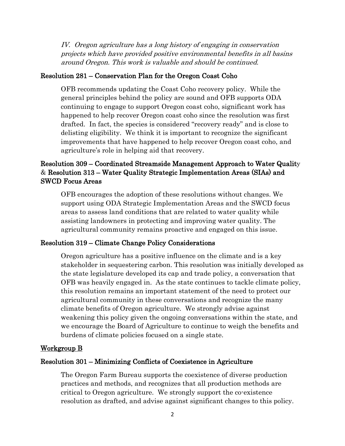IV. Oregon agriculture has a long history of engaging in conservation projects which have provided positive environmental benefits in all basins around Oregon. This work is valuable and should be continued.

### Resolution 281 – Conservation Plan for the Oregon Coast Coho

OFB recommends updating the Coast Coho recovery policy. While the general principles behind the policy are sound and OFB supports ODA continuing to engage to support Oregon coast coho, significant work has happened to help recover Oregon coast coho since the resolution was first drafted. In fact, the species is considered "recovery ready" and is close to delisting eligibility. We think it is important to recognize the significant improvements that have happened to help recover Oregon coast coho, and agriculture's role in helping aid that recovery.

## Resolution 309 – Coordinated Streamside Management Approach to Water Quality & Resolution 313 – Water Quality Strategic Implementation Areas (SIAs) and SWCD Focus Areas

OFB encourages the adoption of these resolutions without changes. We support using ODA Strategic Implementation Areas and the SWCD focus areas to assess land conditions that are related to water quality while assisting landowners in protecting and improving water quality. The agricultural community remains proactive and engaged on this issue.

#### Resolution 319 – Climate Change Policy Considerations

Oregon agriculture has a positive influence on the climate and is a key stakeholder in sequestering carbon. This resolution was initially developed as the state legislature developed its cap and trade policy, a conversation that OFB was heavily engaged in. As the state continues to tackle climate policy, this resolution remains an important statement of the need to protect our agricultural community in these conversations and recognize the many climate benefits of Oregon agriculture. We strongly advise against weakening this policy given the ongoing conversations within the state, and we encourage the Board of Agriculture to continue to weigh the benefits and burdens of climate policies focused on a single state.

#### Workgroup B

#### Resolution 301 – Minimizing Conflicts of Coexistence in Agriculture

The Oregon Farm Bureau supports the coexistence of diverse production practices and methods, and recognizes that all production methods are critical to Oregon agriculture. We strongly support the co-existence resolution as drafted, and advise against significant changes to this policy.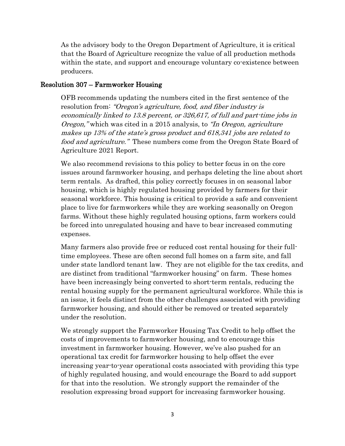As the advisory body to the Oregon Department of Agriculture, it is critical that the Board of Agriculture recognize the value of all production methods within the state, and support and encourage voluntary co-existence between producers.

### Resolution 307 – Farmworker Housing

OFB recommends updating the numbers cited in the first sentence of the resolution from: "Oregon's agriculture, food, and fiber industry is economically linked to 13.8 percent, or 326,617, of full and part-time jobs in Oregon," which was cited in a 2015 analysis, to "In Oregon, agriculture makes up 13% of the state's gross product and 618,341 jobs are related to food and agriculture." These numbers come from the Oregon State Board of Agriculture 2021 Report.

We also recommend revisions to this policy to better focus in on the core issues around farmworker housing, and perhaps deleting the line about short term rentals. As drafted, this policy correctly focuses in on seasonal labor housing, which is highly regulated housing provided by farmers for their seasonal workforce. This housing is critical to provide a safe and convenient place to live for farmworkers while they are working seasonally on Oregon farms. Without these highly regulated housing options, farm workers could be forced into unregulated housing and have to bear increased commuting expenses.

Many farmers also provide free or reduced cost rental housing for their fulltime employees. These are often second full homes on a farm site, and fall under state landlord tenant law. They are not eligible for the tax credits, and are distinct from traditional "farmworker housing" on farm. These homes have been increasingly being converted to short-term rentals, reducing the rental housing supply for the permanent agricultural workforce. While this is an issue, it feels distinct from the other challenges associated with providing farmworker housing, and should either be removed or treated separately under the resolution.

We strongly support the Farmworker Housing Tax Credit to help offset the costs of improvements to farmworker housing, and to encourage this investment in farmworker housing. However, we've also pushed for an operational tax credit for farmworker housing to help offset the ever increasing year-to-year operational costs associated with providing this type of highly regulated housing, and would encourage the Board to add support for that into the resolution. We strongly support the remainder of the resolution expressing broad support for increasing farmworker housing.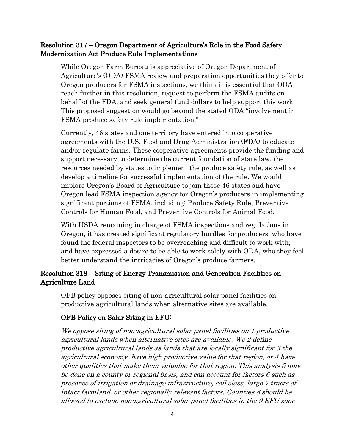## Resolution 317 – Oregon Department of Agriculture's Role in the Food Safety Modernization Act Produce Rule Implementations

While Oregon Farm Bureau is appreciative of Oregon Department of Agriculture's (ODA) FSMA review and preparation opportunities they offer to Oregon producers for FSMA inspections, we think it is essential that ODA reach further in this resolution, request to perform the FSMA audits on behalf of the FDA, and seek general fund dollars to help support this work. This proposed suggestion would go beyond the stated ODA "involvement in FSMA produce safety rule implementation."

Currently, 46 states and one territory have entered into cooperative agreements with the U.S. Food and Drug Administration (FDA) to educate and/or regulate farms. These cooperative agreements provide the funding and support necessary to determine the current foundation of state law, the resources needed by states to implement the produce safety rule, as well as develop a timeline for successful implementation of the rule. We would implore Oregon's Board of Agriculture to join those 46 states and have Oregon lead FSMA inspection agency for Oregon's producers in implementing significant portions of FSMA, including: Produce Safety Rule, Preventive Controls for Human Food, and Preventive Controls for Animal Food.

With USDA remaining in charge of FSMA inspections and regulations in Oregon, it has created significant regulatory hurdles for producers, who have found the federal inspectors to be overreaching and difficult to work with, and have expressed a desire to be able to work solely with ODA, who they feel better understand the intricacies of Oregon's produce farmers.

## Resolution 318 – Siting of Energy Transmission and Generation Facilities on Agriculture Land

OFB policy opposes siting of non-agricultural solar panel facilities on productive agricultural lands when alternative sites are available.

### OFB Policy on Solar Siting in EFU:

We oppose siting of non-agricultural solar panel facilities on 1 productive agricultural lands when alternative sites are available. We 2 define productive agricultural lands as lands that are locally significant for 3 the agricultural economy, have high productive value for that region, or 4 have other qualities that make them valuable for that region. This analysis 5 may be done on a county or regional basis, and can account for factors 6 such as presence of irrigation or drainage infrastructure, soil class, large 7 tracts of intact farmland, or other regionally relevant factors. Counties 8 should be allowed to exclude non-agricultural solar panel facilities in the 9 EFU zone